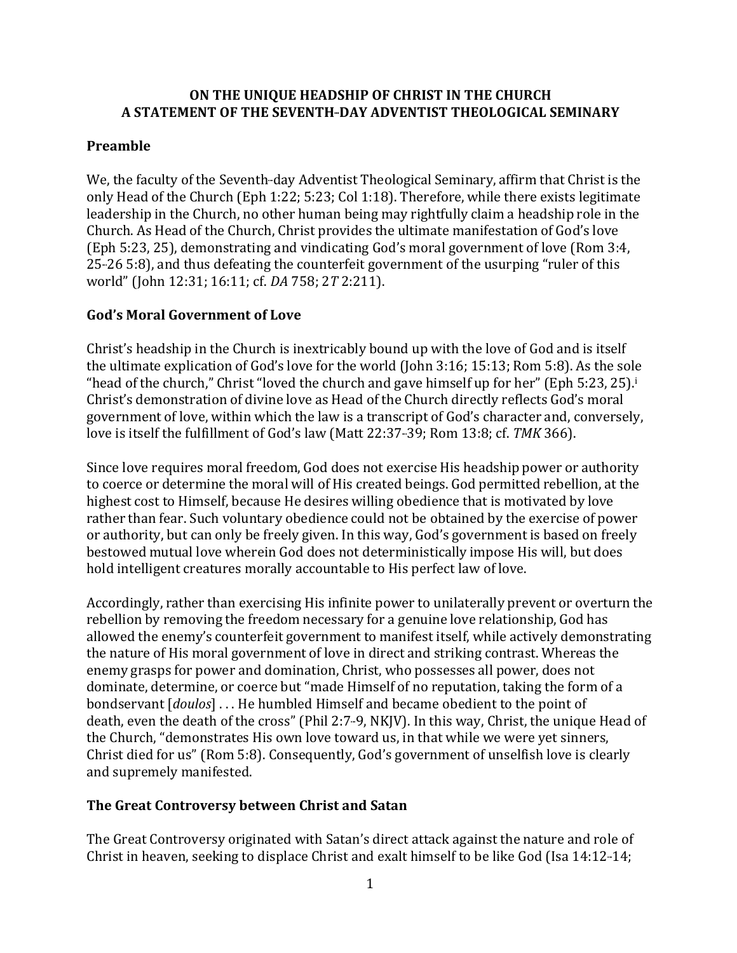#### **ON THE UNIQUE HEADSHIP OF CHRIST IN THE CHURCH A STATEMENT OF THE SEVENTH-DAY ADVENTIST THEOLOGICAL SEMINARY**

## **Preamble**

We, the faculty of the Seventh-day Adventist Theological Seminary, affirm that Christ is the only Head of the Church (Eph 1:22; 5:23; Col 1:18). Therefore, while there exists legitimate leadership in the Church, no other human being may rightfully claim a headship role in the Church. As Head of the Church, Christ provides the ultimate manifestation of God's love (Eph 5:23, 25), demonstrating and vindicating God's moral government of love (Rom 3:4, 25-26 5:8), and thus defeating the counterfeit government of the usurping "ruler of this world" (John 12:31; 16:11; cf. *DA* 758; 2*T* 2:211).

### **God's Moral Government of Love**

Christ's headship in the Church is inextricably bound up with the love of God and is itself the ultimate explication of God's love for the world (John 3:16; 15:13; Rom 5:8). As the sole "head of the church," Christ "loved the church and gave himself up for her" (Eph 5:23, 25).<sup>i</sup> Christ's demonstration of divine love as Head of the Church directly reflects God's moral government of love, within which the law is a transcript of God's character and, conversely, love is itself the fulfillment of God's law (Matt 22:37-39; Rom 13:8; cf. *TMK* 366).

Since love requires moral freedom, God does not exercise His headship power or authority to coerce or determine the moral will of His created beings. God permitted rebellion, at the highest cost to Himself, because He desires willing obedience that is motivated by love rather than fear. Such voluntary obedience could not be obtained by the exercise of power or authority, but can only be freely given. In this way, God's government is based on freely bestowed mutual love wherein God does not deterministically impose His will, but does hold intelligent creatures morally accountable to His perfect law of love.

Accordingly, rather than exercising His infinite power to unilaterally prevent or overturn the rebellion by removing the freedom necessary for a genuine love relationship, God has allowed the enemy's counterfeit government to manifest itself, while actively demonstrating the nature of His moral government of love in direct and striking contrast. Whereas the enemy grasps for power and domination, Christ, who possesses all power, does not dominate, determine, or coerce but "made Himself of no reputation, taking the form of a bondservant [*doulos*] . . . He humbled Himself and became obedient to the point of death, even the death of the cross" (Phil 2:7-9, NKJV). In this way, Christ, the unique Head of the Church, "demonstrates His own love toward us, in that while we were yet sinners, Christ died for us" (Rom 5:8). Consequently, God's government of unselfish love is clearly and supremely manifested.

#### **The Great Controversy between Christ and Satan**

The Great Controversy originated with Satan's direct attack against the nature and role of Christ in heaven, seeking to displace Christ and exalt himself to be like God (Isa 14:12-14;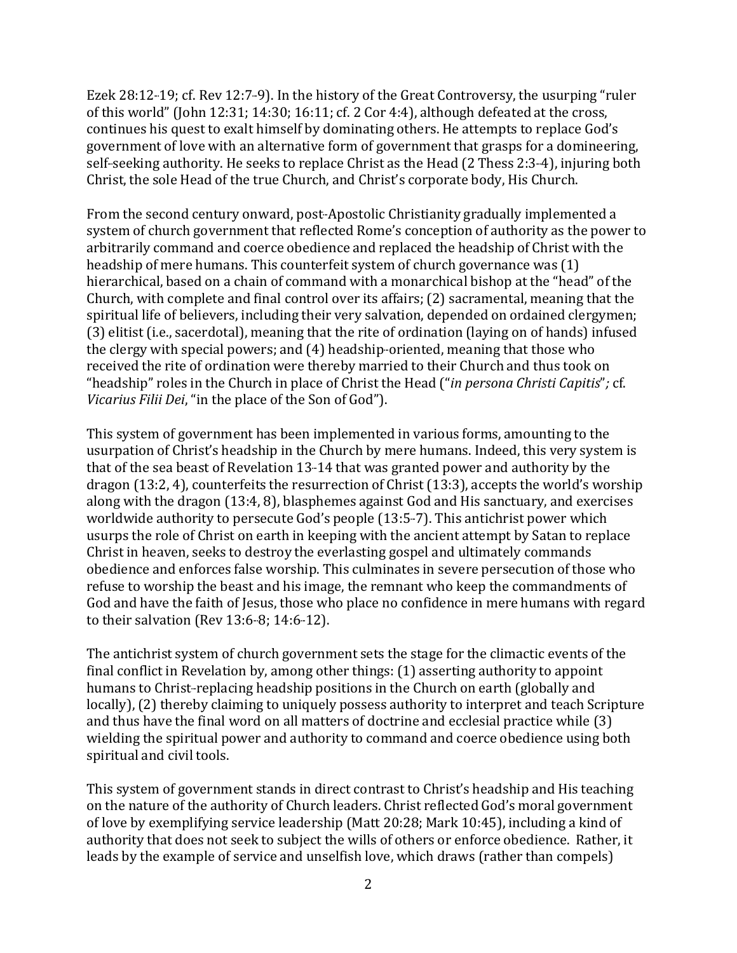Ezek 28:12-19; cf. Rev 12:7-9). In the history of the Great Controversy, the usurping "ruler of this world" (John 12:31; 14:30; 16:11; cf. 2 Cor 4:4), although defeated at the cross, continues his quest to exalt himself by dominating others. He attempts to replace God's government of love with an alternative form of government that grasps for a domineering, self-seeking authority. He seeks to replace Christ as the Head (2 Thess 2:3-4), injuring both Christ, the sole Head of the true Church, and Christ's corporate body, His Church.

From the second century onward, post-Apostolic Christianity gradually implemented a system of church government that reflected Rome's conception of authority as the power to arbitrarily command and coerce obedience and replaced the headship of Christ with the headship of mere humans. This counterfeit system of church governance was (1) hierarchical, based on a chain of command with a monarchical bishop at the "head" of the Church, with complete and final control over its affairs;(2) sacramental, meaning that the spiritual life of believers, including their very salvation, depended on ordained clergymen; (3) elitist (i.e., sacerdotal), meaning that the rite of ordination (laying on of hands) infused the clergy with special powers; and (4) headship-oriented, meaning that those who received the rite of ordination were thereby married to their Church and thus took on "headship" roles in the Church in place of Christ the Head ("*in persona Christi Capitis*"*;* cf. *Vicarius Filii Dei*, "in the place of the Son of God").

This system of government has been implemented in various forms, amounting to the usurpation of Christ's headship in the Church by mere humans. Indeed, this very system is that of the sea beast of Revelation 13-14 that was granted power and authority by the dragon (13:2, 4), counterfeits the resurrection of Christ (13:3), accepts the world's worship along with the dragon (13:4, 8), blasphemes against God and His sanctuary, and exercises worldwide authority to persecute God's people (13:5-7). This antichrist power which usurps the role of Christ on earth in keeping with the ancient attempt by Satan to replace Christ in heaven, seeks to destroy the everlasting gospel and ultimately commands obedience and enforces false worship. This culminates in severe persecution of those who refuse to worship the beast and his image, the remnant who keep the commandments of God and have the faith of Jesus, those who place no confidence in mere humans with regard to their salvation (Rev 13:6-8; 14:6-12).

The antichrist system of church government sets the stage for the climactic events of the final conflict in Revelation by, among other things: (1) asserting authority to appoint humans to Christ-replacing headship positions in the Church on earth (globally and locally), (2) thereby claiming to uniquely possess authority to interpret and teach Scripture and thus have the final word on all matters of doctrine and ecclesial practice while (3) wielding the spiritual power and authority to command and coerce obedience using both spiritual and civil tools.

This system of government stands in direct contrast to Christ's headship and His teaching on the nature of the authority of Church leaders. Christ reflected God's moral government of love by exemplifying service leadership (Matt 20:28; Mark 10:45), including a kind of authority that does not seek to subject the wills of others or enforce obedience. Rather, it leads by the example of service and unselfish love, which draws (rather than compels)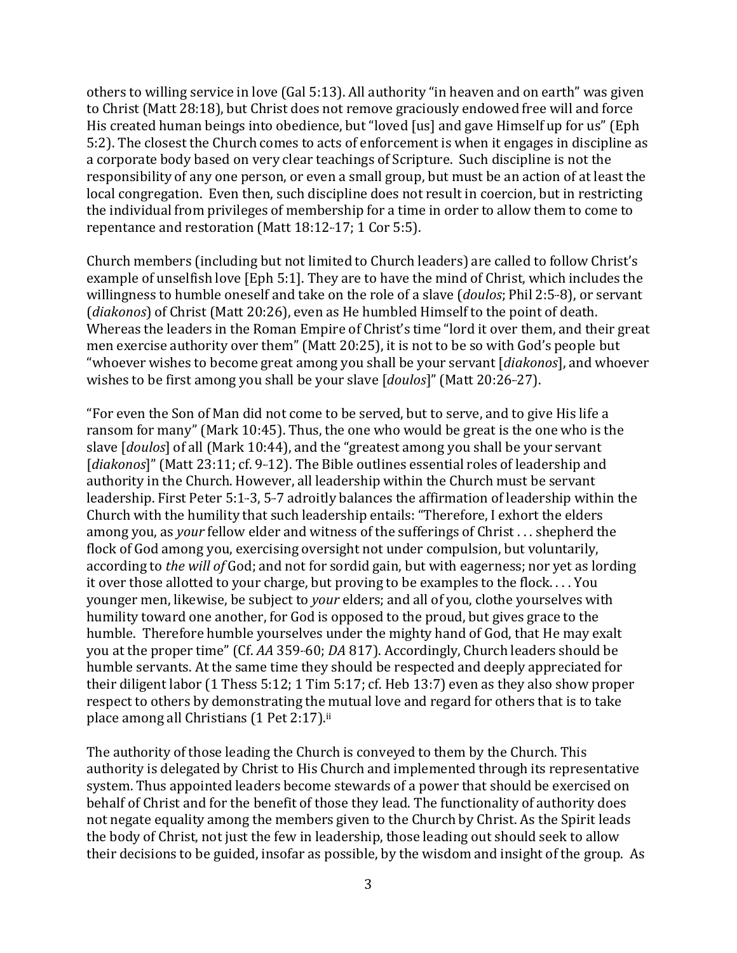others to willing service in love (Gal 5:13). All authority "in heaven and on earth" was given to Christ (Matt 28:18), but Christ does not remove graciously endowed free will and force His created human beings into obedience, but "loved [us] and gave Himself up for us" (Eph 5:2). The closest the Church comes to acts of enforcement is when it engages in discipline as a corporate body based on very clear teachings of Scripture. Such discipline is not the responsibility of any one person, or even a small group, but must be an action of at least the local congregation. Even then, such discipline does not result in coercion, but in restricting the individual from privileges of membership for a time in order to allow them to come to repentance and restoration (Matt 18:12-17; 1 Cor 5:5).

Church members (including but not limited to Church leaders) are called to follow Christ's example of unselfish love [Eph 5:1]. They are to have the mind of Christ, which includes the willingness to humble oneself and take on the role of a slave (*doulos*; Phil 2:5-8), or servant (*diakonos*) of Christ (Matt 20:26), even as He humbled Himself to the point of death. Whereas the leaders in the Roman Empire of Christ's time "lord it over them, and their great men exercise authority over them" (Matt 20:25), it is not to be so with God's people but "whoever wishes to become great among you shall be your servant [*diakonos*], and whoever wishes to be first among you shall be your slave [*doulos*]" (Matt 20:26-27).

"For even the Son of Man did not come to be served, but to serve, and to give His life a ransom for many" (Mark 10:45). Thus, the one who would be great is the one who is the slave [*doulos*] of all (Mark 10:44), and the "greatest among you shall be your servant [*diakonos*]" (Matt 23:11; cf. 9-12). The Bible outlines essential roles of leadership and authority in the Church. However, all leadership within the Church must be servant leadership. First Peter 5:1-3, 5-7 adroitly balances the affirmation of leadership within the Church with the humility that such leadership entails: "Therefore, I exhort the elders among you, as *your* fellow elder and witness of the sufferings of Christ . . . shepherd the flock of God among you, exercising oversight not under compulsion, but voluntarily, according to *the will of* God; and not for sordid gain, but with eagerness; nor yet as lording it over those allotted to your charge, but proving to be examples to the flock. . . . You younger men, likewise, be subject to *your* elders; and all of you, clothe yourselves with humility toward one another, for God is opposed to the proud, but gives grace to the humble. Therefore humble yourselves under the mighty hand of God, that He may exalt you at the proper time" (Cf. *AA* 359-60; *DA* 817). Accordingly, Church leaders should be humble servants. At the same time they should be respected and deeply appreciated for their diligent labor (1 Thess 5:12; 1 Tim 5:17; cf. Heb 13:7) even as they also show proper respect to others by demonstrating the mutual love and regard for others that is to take place among all Christians (1 Pet 2:17).<sup>ii</sup>

The authority of those leading the Church is conveyed to them by the Church. This authority is delegated by Christ to His Church and implemented through its representative system. Thus appointed leaders become stewards of a power that should be exercised on behalf of Christ and for the benefit of those they lead. The functionality of authority does not negate equality among the members given to the Church by Christ. As the Spirit leads the body of Christ, not just the few in leadership, those leading out should seek to allow their decisions to be guided, insofar as possible, by the wisdom and insight of the group. As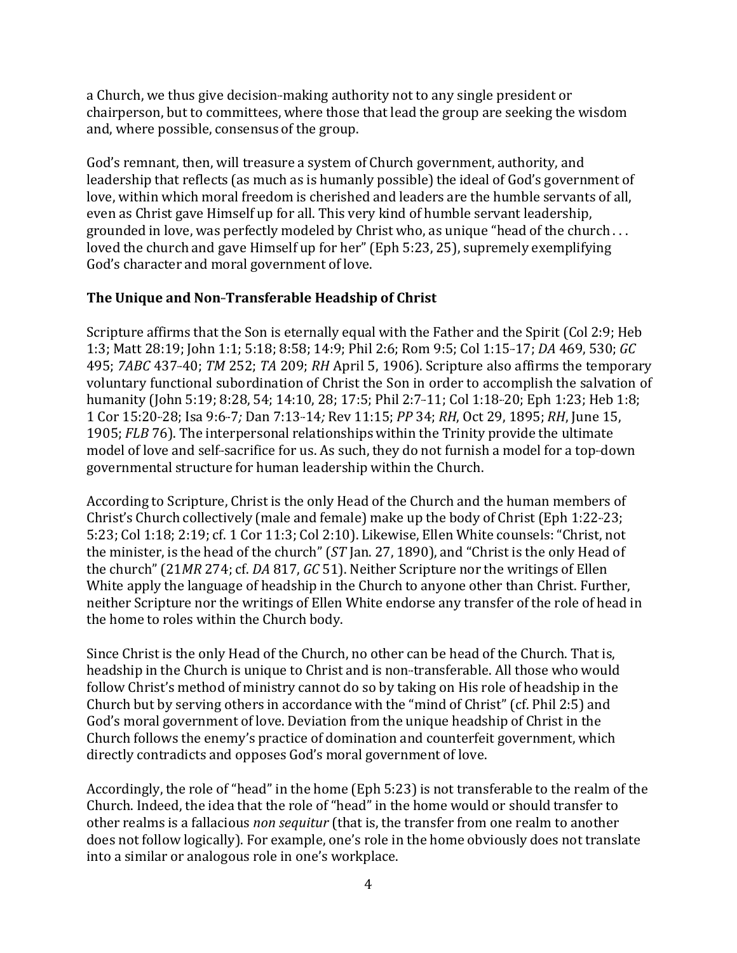a Church, we thus give decision-making authority not to any single president or chairperson, but to committees, where those that lead the group are seeking the wisdom and, where possible, consensus of the group.

God's remnant, then, will treasure a system of Church government, authority, and leadership that reflects (as much as is humanly possible) the ideal of God's government of love, within which moral freedom is cherished and leaders are the humble servants of all, even as Christ gave Himself up for all. This very kind of humble servant leadership, grounded in love, was perfectly modeled by Christ who, as unique "head of the church . . . loved the church and gave Himself up for her" (Eph 5:23, 25), supremely exemplifying God's character and moral government of love.

# **The Unique and Non-Transferable Headship of Christ**

Scripture affirms that the Son is eternally equal with the Father and the Spirit (Col 2:9; Heb 1:3; Matt 28:19; John 1:1; 5:18; 8:58; 14:9; Phil 2:6; Rom 9:5; Col 1:15-17; *DA* 469, 530; *GC* 495; *7ABC* 437-40; *TM* 252; *TA* 209; *RH* April 5, 1906). Scripture also affirms the temporary voluntary functional subordination of Christ the Son in order to accomplish the salvation of humanity (John 5:19; 8:28, 54; 14:10, 28; 17:5; Phil 2:7-11; Col 1:18-20; Eph 1:23; Heb 1:8; 1 Cor 15:20-28; Isa 9:6-7*;* Dan 7:13-14*;* Rev 11:15; *PP* 34; *RH*, Oct 29, 1895; *RH*, June 15, 1905; *FLB* 76). The interpersonal relationships within the Trinity provide the ultimate model of love and self-sacrifice for us. As such, they do not furnish a model for a top-down governmental structure for human leadership within the Church.

According to Scripture, Christ is the only Head of the Church and the human members of Christ's Church collectively (male and female) make up the body of Christ (Eph 1:22-23; 5:23; Col 1:18; 2:19; cf. 1 Cor 11:3; Col 2:10). Likewise, Ellen White counsels: "Christ, not the minister, is the head of the church" (*ST* Jan. 27, 1890), and "Christ is the only Head of the church" (21*MR* 274; cf. *DA* 817, *GC* 51). Neither Scripture nor the writings of Ellen White apply the language of headship in the Church to anyone other than Christ. Further, neither Scripture nor the writings of Ellen White endorse any transfer of the role of head in the home to roles within the Church body.

Since Christ is the only Head of the Church, no other can be head of the Church. That is, headship in the Church is unique to Christ and is non-transferable. All those who would follow Christ's method of ministry cannot do so by taking on His role of headship in the Church but by serving others in accordance with the "mind of Christ" (cf. Phil 2:5) and God's moral government of love. Deviation from the unique headship of Christ in the Church follows the enemy's practice of domination and counterfeit government, which directly contradicts and opposes God's moral government of love.

Accordingly, the role of "head" in the home (Eph 5:23) is not transferable to the realm of the Church. Indeed, the idea that the role of "head" in the home would or should transfer to other realms is a fallacious *non sequitur* (that is, the transfer from one realm to another does not follow logically). For example, one's role in the home obviously does not translate into a similar or analogous role in one's workplace.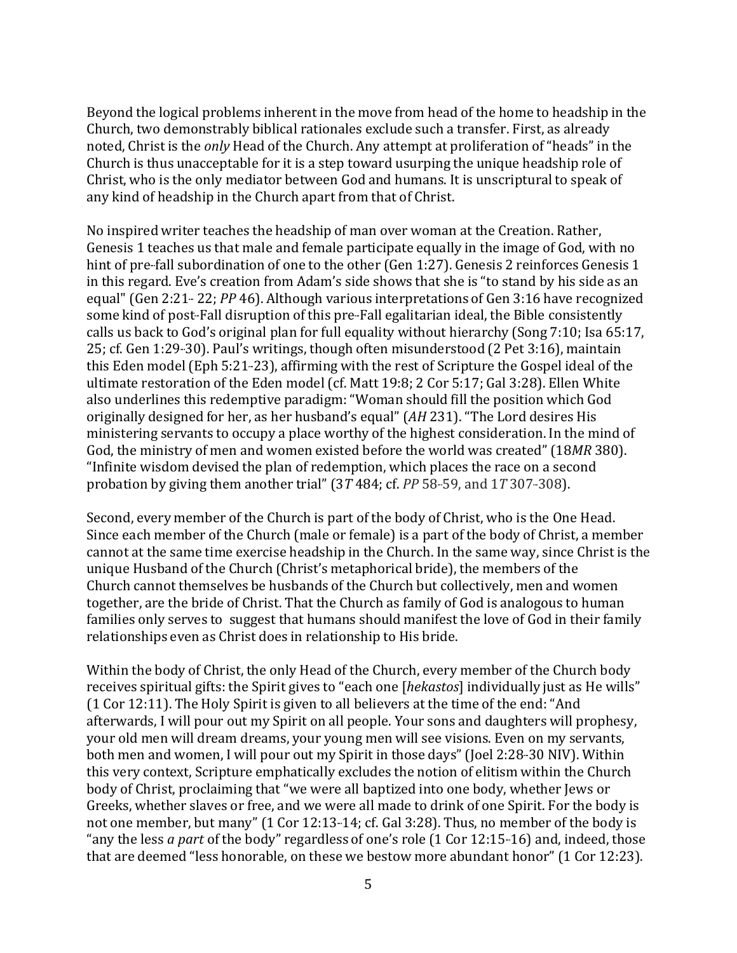Beyond the logical problems inherent in the move from head of the home to headship in the Church, two demonstrably biblical rationales exclude such a transfer. First, as already noted, Christ is the *only* Head of the Church. Any attempt at proliferation of "heads" in the Church is thus unacceptable for it is a step toward usurping the unique headship role of Christ, who is the only mediator between God and humans. It is unscriptural to speak of any kind of headship in the Church apart from that of Christ.

No inspired writer teaches the headship of man over woman at the Creation. Rather, Genesis 1 teaches us that male and female participate equally in the image of God, with no hint of pre-fall subordination of one to the other (Gen 1:27). Genesis 2 reinforces Genesis 1 in this regard. Eve's creation from Adam's side shows that she is "to stand by his side as an equal" (Gen 2:21- 22; *PP* 46). Although various interpretations of Gen 3:16 have recognized some kind of post-Fall disruption of this pre-Fall egalitarian ideal, the Bible consistently calls us back to God's original plan for full equality without hierarchy (Song 7:10; Isa 65:17, 25; cf. Gen 1:29-30). Paul's writings, though often misunderstood (2 Pet 3:16), maintain this Eden model (Eph 5:21-23), affirming with the rest of Scripture the Gospel ideal of the ultimate restoration of the Eden model (cf. Matt 19:8; 2 Cor 5:17; Gal 3:28). Ellen White also underlines this redemptive paradigm:"Woman should fill the position which God originally designed for her, as her husband's equal" (*AH* 231). "The Lord desires His ministering servants to occupy a place worthy of the highest consideration. In the mind of God, the ministry of men and women existed before the world was created" (18*MR* 380). "Infinite wisdom devised the plan of redemption, which places the race on a second probation by giving them another trial" (3*T* 484; cf. *PP* 58-59, and 1*T* 307-308).

Second, every member of the Church is part of the body of Christ, who is the One Head. Since each member of the Church (male or female) is a part of the body of Christ, a member cannot at the same time exercise headship in the Church. In the same way, since Christ is the unique Husband of the Church (Christ's metaphorical bride), the members of the Church cannot themselves be husbands of the Church but collectively, men and women together, are the bride of Christ. That the Church as family of God is analogous to human families only serves to suggest that humans should manifest the love of God in their family relationships even as Christ does in relationship to His bride.

Within the body of Christ, the only Head of the Church, every member of the Church body receives spiritual gifts: the Spirit gives to "each one [*hekastos*] individually just as He wills" (1 Cor 12:11). The Holy Spirit is given to all believers at the time of the end: "And afterwards, I will pour out my Spirit on all people. Your sons and daughters will prophesy, your old men will dream dreams, your young men will see visions. Even on my servants, both men and women, I will pour out my Spirit in those days" (Joel 2:28-30 NIV). Within this very context, Scripture emphatically excludes the notion of elitism within the Church body of Christ, proclaiming that "we were all baptized into one body, whether Jews or Greeks, whether slaves or free, and we were all made to drink of one Spirit. For the body is not one member, but many" (1 Cor 12:13-14; cf. Gal 3:28). Thus, no member of the body is "any the less *a part* of the body" regardless of one's role (1 Cor 12:15-16) and, indeed, those that are deemed "less honorable, on these we bestow more abundant honor" (1 Cor 12:23).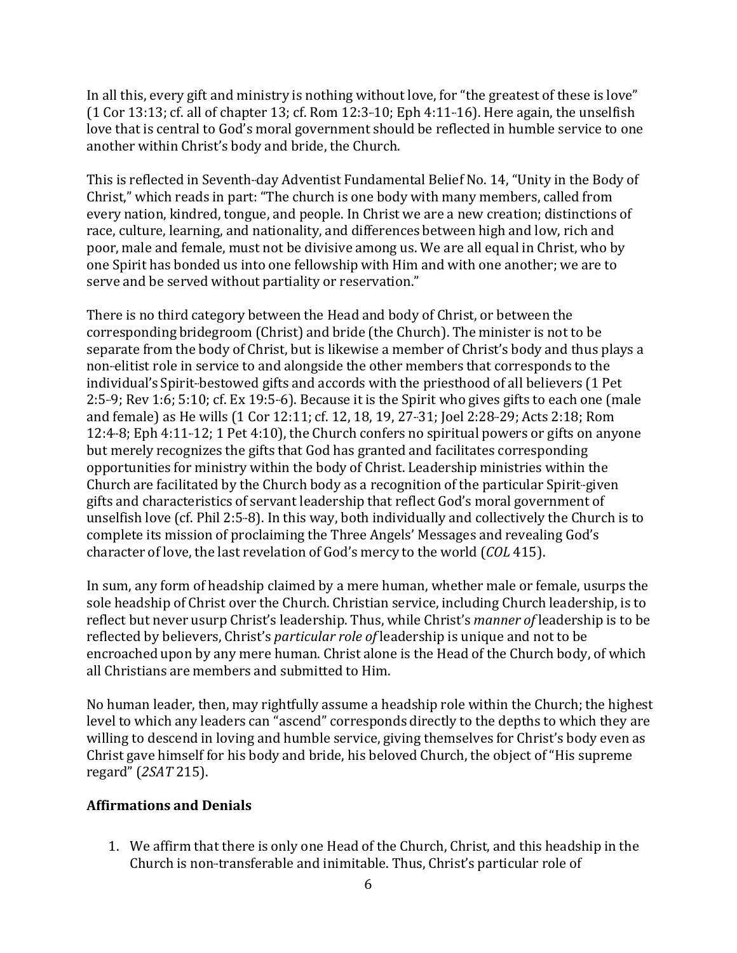In all this, every gift and ministry is nothing without love, for "the greatest of these is love" (1 Cor 13:13; cf. all of chapter 13; cf. Rom 12:3-10; Eph 4:11-16). Here again, the unselfish love that is central to God's moral government should be reflected in humble service to one another within Christ's body and bride, the Church.

This is reflected in Seventh-day Adventist Fundamental Belief No. 14, "Unity in the Body of Christ," which reads in part: "The church is one body with many members, called from every nation, kindred, tongue, and people. In Christ we are a new creation; distinctions of race, culture, learning, and nationality, and differences between high and low, rich and poor, male and female, must not be divisive among us. We are all equal in Christ, who by one Spirit has bonded us into one fellowship with Him and with one another; we are to serve and be served without partiality or reservation."

There is no third category between the Head and body of Christ, or between the corresponding bridegroom (Christ) and bride (the Church). The minister is not to be separate from the body of Christ, but is likewise a member of Christ's body and thus plays a non-elitist role in service to and alongside the other members that corresponds to the individual's Spirit-bestowed gifts and accords with the priesthood of all believers (1 Pet 2:5-9; Rev 1:6; 5:10; cf. Ex 19:5-6). Because it is the Spirit who gives gifts to each one (male and female) as He wills (1 Cor 12:11; cf. 12, 18, 19, 27-31; Joel 2:28-29; Acts 2:18; Rom 12:4-8; Eph 4:11-12; 1 Pet 4:10), the Church confers no spiritual powers or gifts on anyone but merely recognizes the gifts that God has granted and facilitates corresponding opportunities for ministry within the body of Christ. Leadership ministries within the Church are facilitated by the Church body as a recognition of the particular Spirit-given gifts and characteristics of servant leadership that reflect God's moral government of unselfish love (cf. Phil 2:5-8). In this way, both individually and collectively the Church is to complete its mission of proclaiming the Three Angels' Messages and revealing God's character of love, the last revelation of God's mercy to the world (*COL* 415).

In sum, any form of headship claimed by a mere human, whether male or female, usurps the sole headship of Christ over the Church. Christian service, including Church leadership, is to reflect but never usurp Christ's leadership. Thus, while Christ's *manner of* leadership is to be reflected by believers, Christ's *particular role of* leadership is unique and not to be encroached upon by any mere human. Christ alone is the Head of the Church body, of which all Christians are members and submitted to Him.

No human leader, then, may rightfully assume a headship role within the Church; the highest level to which any leaders can "ascend" corresponds directly to the depths to which they are willing to descend in loving and humble service, giving themselves for Christ's body even as Christ gave himself for his body and bride, his beloved Church, the object of "His supreme regard" (*2SAT* 215).

#### **Affirmations and Denials**

1. We affirm that there is only one Head of the Church, Christ, and this headship in the Church is non-transferable and inimitable. Thus, Christ's particular role of